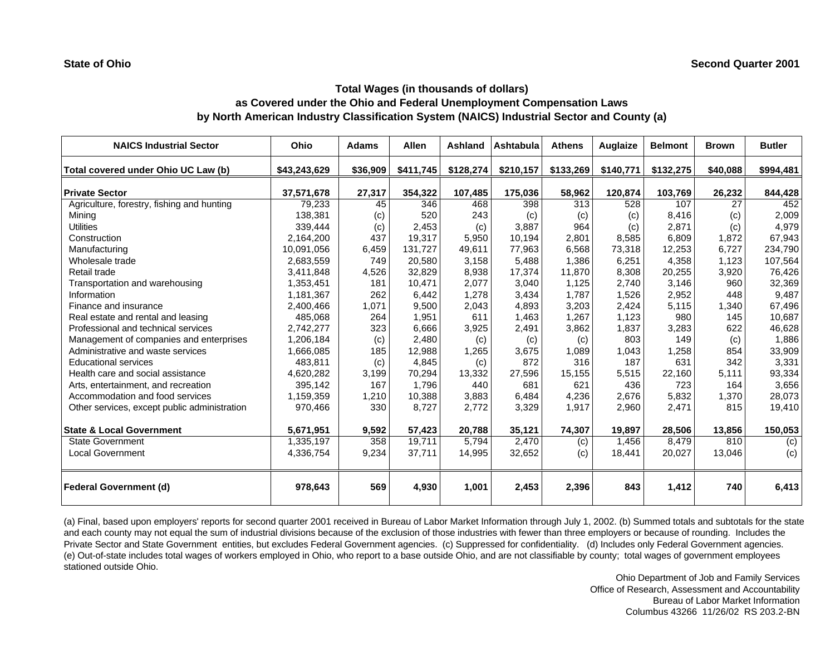# **Total Wages (in thousands of dollars) as Covered under the Ohio and Federal Unemployment Compensation Laws by North American Industry Classification System (NAICS) Industrial Sector and County (a)**

| <b>NAICS Industrial Sector</b>               | Ohio         | <b>Adams</b> | <b>Allen</b> | Ashland   | Ashtabula | <b>Athens</b> | <b>Auglaize</b> | <b>Belmont</b> | <b>Brown</b> | <b>Butler</b> |
|----------------------------------------------|--------------|--------------|--------------|-----------|-----------|---------------|-----------------|----------------|--------------|---------------|
| Total covered under Ohio UC Law (b)          | \$43,243,629 | \$36,909     | \$411,745    | \$128,274 | \$210,157 | \$133,269     | \$140,771       | \$132,275      | \$40,088     | \$994,481     |
| <b>Private Sector</b>                        | 37,571,678   | 27,317       | 354,322      | 107,485   | 175,036   | 58,962        | 120,874         | 103,769        | 26,232       | 844,428       |
| Agriculture, forestry, fishing and hunting   | 79,233       | 45           | 346          | 468       | 398       | 313           | 528             | 107            | 27           | 452           |
| Mining                                       | 138,381      | (c)          | 520          | 243       | (c)       | (c)           | (c)             | 8,416          | (c)          | 2,009         |
| <b>Utilities</b>                             | 339,444      | (c)          | 2,453        | (c)       | 3.887     | 964           | (c)             | 2,871          | (c)          | 4,979         |
| Construction                                 | 2,164,200    | 437          | 19,317       | 5,950     | 10,194    | 2,801         | 8,585           | 6,809          | 1,872        | 67,943        |
| Manufacturing                                | 10,091,056   | 6,459        | 131,727      | 49,611    | 77,963    | 6,568         | 73,318          | 12,253         | 6,727        | 234,790       |
| Wholesale trade                              | 2,683,559    | 749          | 20,580       | 3,158     | 5,488     | 1,386         | 6,251           | 4,358          | 1,123        | 107,564       |
| Retail trade                                 | 3.411.848    | 4,526        | 32.829       | 8,938     | 17.374    | 11.870        | 8,308           | 20,255         | 3,920        | 76,426        |
| Transportation and warehousing               | 1,353,451    | 181          | 10,471       | 2,077     | 3,040     | 1,125         | 2,740           | 3,146          | 960          | 32,369        |
| Information                                  | 1,181,367    | 262          | 6,442        | 1,278     | 3,434     | 1,787         | 1,526           | 2,952          | 448          | 9,487         |
| Finance and insurance                        | 2,400,466    | 1,071        | 9,500        | 2,043     | 4,893     | 3,203         | 2,424           | 5,115          | 1,340        | 67,496        |
| Real estate and rental and leasing           | 485,068      | 264          | 1,951        | 611       | 1,463     | 1,267         | 1,123           | 980            | 145          | 10,687        |
| Professional and technical services          | 2,742,277    | 323          | 6,666        | 3,925     | 2,491     | 3,862         | 1,837           | 3,283          | 622          | 46,628        |
| Management of companies and enterprises      | 1,206,184    | (c)          | 2,480        | (c)       | (c)       | (c)           | 803             | 149            | (c)          | 1,886         |
| Administrative and waste services            | 1,666,085    | 185          | 12,988       | 1,265     | 3,675     | 1,089         | 1,043           | 1,258          | 854          | 33,909        |
| <b>Educational services</b>                  | 483.811      | (c)          | 4,845        | (c)       | 872       | 316           | 187             | 631            | 342          | 3,331         |
| Health care and social assistance            | 4,620,282    | 3,199        | 70,294       | 13,332    | 27,596    | 15,155        | 5,515           | 22,160         | 5,111        | 93,334        |
| Arts, entertainment, and recreation          | 395,142      | 167          | 1,796        | 440       | 681       | 621           | 436             | 723            | 164          | 3,656         |
| Accommodation and food services              | 1,159,359    | 1,210        | 10,388       | 3,883     | 6,484     | 4,236         | 2,676           | 5,832          | 1,370        | 28,073        |
| Other services, except public administration | 970,466      | 330          | 8.727        | 2,772     | 3,329     | 1,917         | 2,960           | 2,471          | 815          | 19,410        |
| <b>State &amp; Local Government</b>          | 5,671,951    | 9,592        | 57,423       | 20,788    | 35,121    | 74,307        | 19.897          | 28,506         | 13,856       | 150,053       |
| <b>State Government</b>                      | 1,335,197    | 358          | 19,711       | 5.794     | 2,470     | (c)           | 1.456           | 8.479          | 810          | (c)           |
| <b>Local Government</b>                      | 4,336,754    | 9,234        | 37,711       | 14,995    | 32,652    | (c)           | 18,441          | 20,027         | 13,046       | (c)           |
| <b>Federal Government (d)</b>                | 978,643      | 569          | 4,930        | 1,001     | 2,453     | 2,396         | 843             | 1,412          | 740          | 6,413         |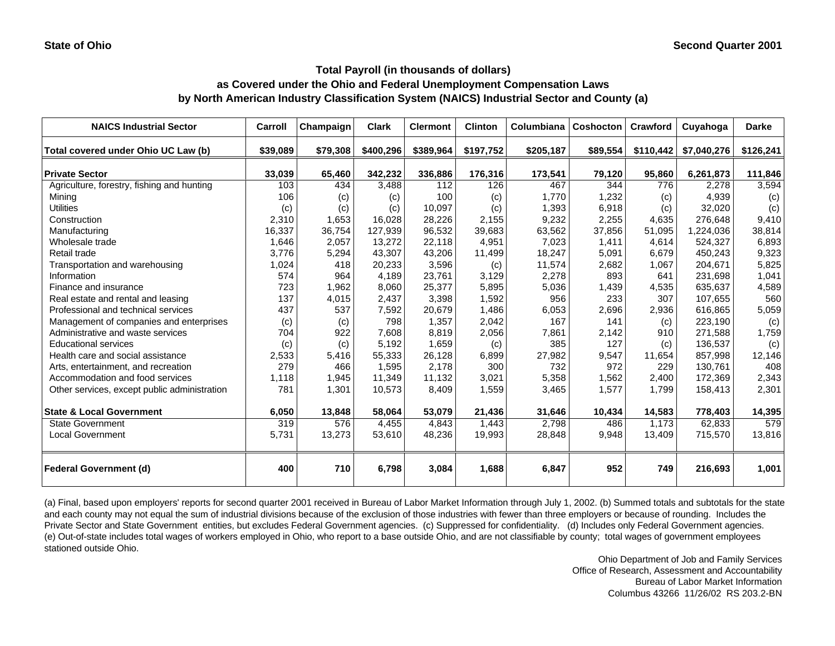### **as Covered under the Ohio and Federal Unemployment Compensation Laws by North American Industry Classification System (NAICS) Industrial Sector and County (a)**

| <b>NAICS Industrial Sector</b>               | Carroll  | Champaign | <b>Clark</b> | <b>Clermont</b> | <b>Clinton</b> | Columbiana | <b>Coshocton</b> | Crawford  | Cuyahoga    | <b>Darke</b> |
|----------------------------------------------|----------|-----------|--------------|-----------------|----------------|------------|------------------|-----------|-------------|--------------|
| Total covered under Ohio UC Law (b)          | \$39,089 | \$79,308  | \$400,296    | \$389,964       | \$197,752      | \$205,187  | \$89,554         | \$110,442 | \$7,040,276 | \$126,241    |
| <b>Private Sector</b>                        | 33,039   | 65,460    | 342,232      | 336,886         | 176,316        | 173,541    | 79,120           | 95,860    | 6,261,873   | 111,846      |
| Agriculture, forestry, fishing and hunting   | 103      | 434       | 3,488        | 112             | 126            | 467        | 344              | 776       | 2,278       | 3,594        |
| Mining                                       | 106      | (c)       | (c)          | 100             | (c)            | 1.770      | 1,232            | (c)       | 4,939       | (c)          |
| <b>Utilities</b>                             | (c)      | (c)       | (c)          | 10,097          | (c)            | 1,393      | 6,918            | (c)       | 32,020      | (c)          |
| Construction                                 | 2,310    | 1,653     | 16,028       | 28,226          | 2,155          | 9,232      | 2,255            | 4,635     | 276,648     | 9,410        |
| Manufacturing                                | 16,337   | 36,754    | 127,939      | 96,532          | 39,683         | 63,562     | 37,856           | 51,095    | 1,224,036   | 38,814       |
| Wholesale trade                              | 1,646    | 2,057     | 13,272       | 22,118          | 4,951          | 7,023      | 1,411            | 4,614     | 524,327     | 6,893        |
| Retail trade                                 | 3,776    | 5,294     | 43,307       | 43,206          | 11,499         | 18,247     | 5,091            | 6.679     | 450,243     | 9,323        |
| Transportation and warehousing               | 1,024    | 418       | 20,233       | 3,596           | (c)            | 11,574     | 2,682            | 1,067     | 204,671     | 5,825        |
| Information                                  | 574      | 964       | 4,189        | 23,761          | 3,129          | 2,278      | 893              | 641       | 231,698     | 1,041        |
| Finance and insurance                        | 723      | 1,962     | 8,060        | 25,377          | 5,895          | 5,036      | 1,439            | 4,535     | 635,637     | 4,589        |
| Real estate and rental and leasing           | 137      | 4,015     | 2,437        | 3,398           | 1,592          | 956        | 233              | 307       | 107,655     | 560          |
| Professional and technical services          | 437      | 537       | 7,592        | 20,679          | 1,486          | 6,053      | 2,696            | 2,936     | 616,865     | 5,059        |
| Management of companies and enterprises      | (c)      | (c)       | 798          | 1,357           | 2,042          | 167        | 141              | (c)       | 223,190     | (c)          |
| Administrative and waste services            | 704      | 922       | 7,608        | 8,819           | 2,056          | 7,861      | 2,142            | 910       | 271,588     | 1,759        |
| <b>Educational services</b>                  | (c)      | (c)       | 5,192        | 1,659           | (c)            | 385        | 127              | (c)       | 136,537     | (c)          |
| Health care and social assistance            | 2,533    | 5,416     | 55,333       | 26,128          | 6,899          | 27,982     | 9,547            | 11,654    | 857,998     | 12,146       |
| Arts, entertainment, and recreation          | 279      | 466       | 1,595        | 2,178           | 300            | 732        | 972              | 229       | 130,761     | 408          |
| Accommodation and food services              | 1,118    | 1,945     | 11,349       | 11,132          | 3,021          | 5,358      | 1,562            | 2,400     | 172,369     | 2,343        |
| Other services, except public administration | 781      | 1,301     | 10,573       | 8,409           | 1,559          | 3,465      | 1,577            | 1,799     | 158,413     | 2,301        |
| <b>State &amp; Local Government</b>          | 6,050    | 13,848    | 58,064       | 53.079          | 21,436         | 31,646     | 10,434           | 14,583    | 778,403     | 14,395       |
| State Government                             | 319      | 576       | 4,455        | 4,843           | 1,443          | 2,798      | 486              | 1,173     | 62,833      | 579          |
| <b>Local Government</b>                      | 5,731    | 13,273    | 53,610       | 48,236          | 19,993         | 28,848     | 9,948            | 13,409    | 715,570     | 13,816       |
| <b>Federal Government (d)</b>                | 400      | 710       | 6,798        | 3,084           | 1,688          | 6,847      | 952              | 749       | 216.693     | 1,001        |

(a) Final, based upon employers' reports for second quarter 2001 received in Bureau of Labor Market Information through July 1, 2002. (b) Summed totals and subtotals for the state and each county may not equal the sum of industrial divisions because of the exclusion of those industries with fewer than three employers or because of rounding. Includes the Private Sector and State Government entities, but excludes Federal Government agencies. (c) Suppressed for confidentiality. (d) Includes only Federal Government agencies. (e) Out-of-state includes total wages of workers employed in Ohio, who report to a base outside Ohio, and are not classifiable by county; total wages of government employees stationed outside Ohio.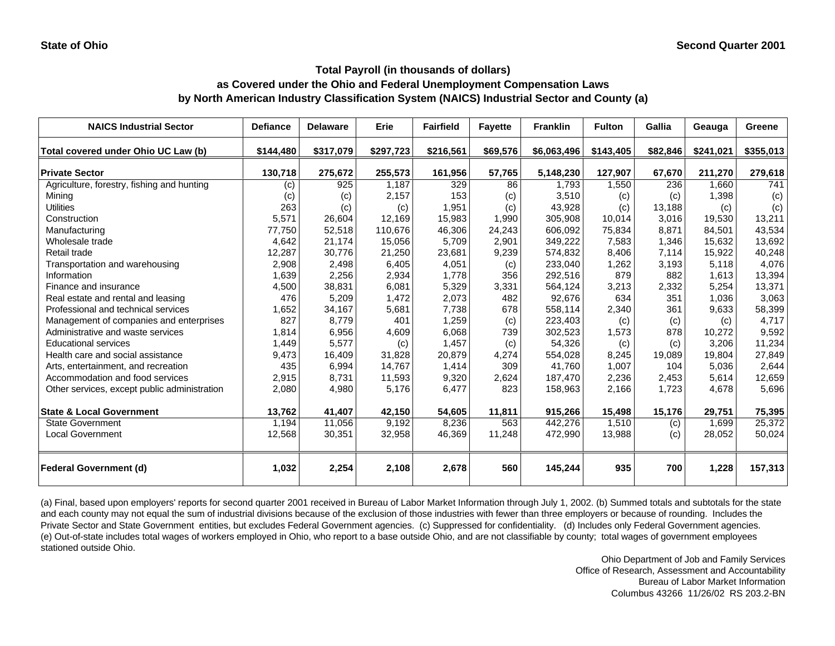### **as Covered under the Ohio and Federal Unemployment Compensation Laws by North American Industry Classification System (NAICS) Industrial Sector and County (a)**

| <b>NAICS Industrial Sector</b>               | <b>Defiance</b> | <b>Delaware</b> | Erie      | <b>Fairfield</b> | <b>Fayette</b> | <b>Franklin</b> | <b>Fulton</b> | <b>Gallia</b> | Geauga    | Greene    |
|----------------------------------------------|-----------------|-----------------|-----------|------------------|----------------|-----------------|---------------|---------------|-----------|-----------|
| Total covered under Ohio UC Law (b)          | \$144,480       | \$317,079       | \$297,723 | \$216,561        | \$69,576       | \$6,063,496     | \$143,405     | \$82,846      | \$241,021 | \$355,013 |
| <b>Private Sector</b>                        | 130,718         | 275,672         | 255,573   | 161,956          | 57,765         | 5,148,230       | 127,907       | 67,670        | 211,270   | 279,618   |
| Agriculture, forestry, fishing and hunting   | (c)             | 925             | 1.187     | 329              | 86             | 1,793           | 1,550         | 236           | 1.660     | 741       |
| Mining                                       | (c)             | (c)             | 2,157     | 153              | (c)            | 3,510           | (c)           | (c)           | 1,398     | (c)       |
| <b>Utilities</b>                             | 263             | (c)             | (c)       | 1,951            | (c)            | 43,928          | (c)           | 13,188        | (c)       | (c)       |
| Construction                                 | 5,571           | 26,604          | 12,169    | 15,983           | 1,990          | 305,908         | 10,014        | 3,016         | 19.530    | 13,211    |
| Manufacturing                                | 77,750          | 52,518          | 110,676   | 46,306           | 24,243         | 606,092         | 75,834        | 8,871         | 84,501    | 43,534    |
| Wholesale trade                              | 4,642           | 21,174          | 15,056    | 5,709            | 2,901          | 349,222         | 7,583         | 1,346         | 15,632    | 13,692    |
| Retail trade                                 | 12,287          | 30,776          | 21,250    | 23,681           | 9,239          | 574,832         | 8,406         | 7,114         | 15,922    | 40,248    |
| Transportation and warehousing               | 2,908           | 2,498           | 6,405     | 4,051            | (c)            | 233,040         | 1,262         | 3,193         | 5.118     | 4,076     |
| Information                                  | 1,639           | 2,256           | 2,934     | 1,778            | 356            | 292,516         | 879           | 882           | 1,613     | 13,394    |
| Finance and insurance                        | 4,500           | 38,831          | 6,081     | 5,329            | 3,331          | 564,124         | 3,213         | 2,332         | 5,254     | 13,371    |
| Real estate and rental and leasing           | 476             | 5,209           | 1,472     | 2,073            | 482            | 92,676          | 634           | 351           | 1.036     | 3,063     |
| Professional and technical services          | 1,652           | 34,167          | 5,681     | 7,738            | 678            | 558,114         | 2,340         | 361           | 9,633     | 58,399    |
| Management of companies and enterprises      | 827             | 8,779           | 401       | 1,259            | (c)            | 223,403         | (c)           | (c)           | (c)       | 4,717     |
| Administrative and waste services            | 1,814           | 6,956           | 4,609     | 6,068            | 739            | 302,523         | 1,573         | 878           | 10,272    | 9,592     |
| <b>Educational services</b>                  | 1,449           | 5,577           | (c)       | 1,457            | (c)            | 54,326          | (c)           | (c)           | 3,206     | 11,234    |
| Health care and social assistance            | 9,473           | 16,409          | 31,828    | 20,879           | 4,274          | 554,028         | 8,245         | 19,089        | 19,804    | 27,849    |
| Arts, entertainment, and recreation          | 435             | 6,994           | 14,767    | 1,414            | 309            | 41,760          | 1,007         | 104           | 5,036     | 2,644     |
| Accommodation and food services              | 2,915           | 8,731           | 11,593    | 9,320            | 2,624          | 187,470         | 2,236         | 2,453         | 5,614     | 12,659    |
| Other services, except public administration | 2,080           | 4,980           | 5,176     | 6,477            | 823            | 158,963         | 2,166         | 1,723         | 4,678     | 5,696     |
| <b>State &amp; Local Government</b>          | 13,762          | 41,407          | 42,150    | 54,605           | 11,811         | 915,266         | 15,498        | 15,176        | 29,751    | 75,395    |
| <b>State Government</b>                      | 1.194           | 11,056          | 9,192     | 8,236            | 563            | 442,276         | 1,510         | (c)           | 1.699     | 25,372    |
| <b>Local Government</b>                      | 12,568          | 30,351          | 32,958    | 46,369           | 11,248         | 472,990         | 13,988        | (c)           | 28,052    | 50,024    |
| <b>Federal Government (d)</b>                | 1,032           | 2,254           | 2,108     | 2,678            | 560            | 145,244         | 935           | 700           | 1,228     | 157,313   |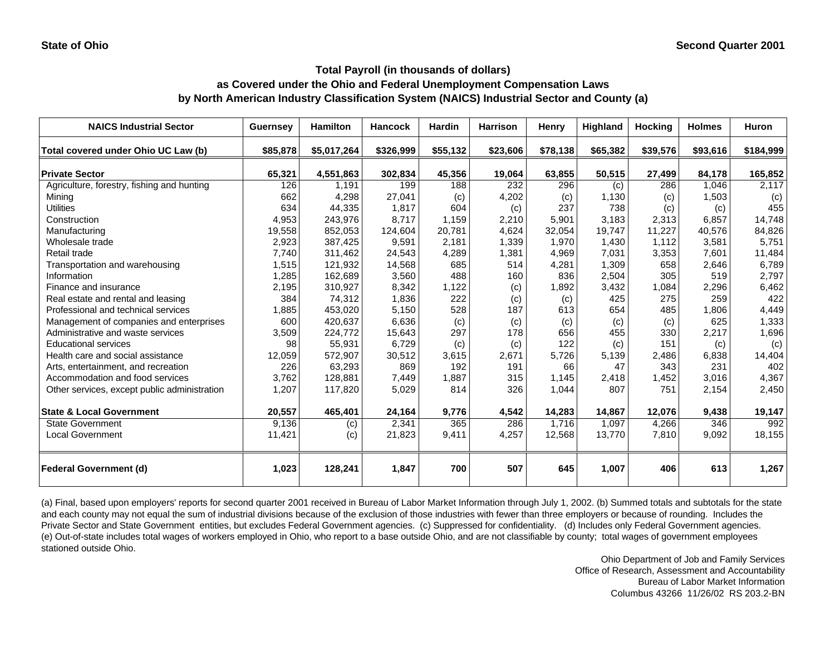## **as Covered under the Ohio and Federal Unemployment Compensation Laws by North American Industry Classification System (NAICS) Industrial Sector and County (a)**

| <b>NAICS Industrial Sector</b>               | <b>Guernsey</b> | <b>Hamilton</b> | <b>Hancock</b> | <b>Hardin</b> | <b>Harrison</b> | Henry    | <b>Highland</b> | <b>Hocking</b> | <b>Holmes</b> | <b>Huron</b> |
|----------------------------------------------|-----------------|-----------------|----------------|---------------|-----------------|----------|-----------------|----------------|---------------|--------------|
| Total covered under Ohio UC Law (b)          | \$85,878        | \$5,017,264     | \$326,999      | \$55,132      | \$23,606        | \$78,138 | \$65,382        | \$39,576       | \$93,616      | \$184,999    |
| <b>Private Sector</b>                        | 65,321          | 4,551,863       | 302,834        | 45,356        | 19,064          | 63,855   | 50,515          | 27,499         | 84,178        | 165,852      |
| Agriculture, forestry, fishing and hunting   | 126             | 1,191           | 199            | 188           | 232             | 296      | (c)             | 286            | 1,046         | 2,117        |
| Minina                                       | 662             | 4,298           | 27,041         | (c)           | 4,202           | (c)      | 1,130           | (c)            | 1,503         | (c)          |
| <b>Utilities</b>                             | 634             | 44,335          | 1,817          | 604           | (c)             | 237      | 738             | (c)            | (c)           | 455          |
| Construction                                 | 4,953           | 243,976         | 8,717          | 1,159         | 2,210           | 5,901    | 3,183           | 2,313          | 6,857         | 14,748       |
| Manufacturing                                | 19,558          | 852,053         | 124,604        | 20,781        | 4,624           | 32,054   | 19,747          | 11,227         | 40,576        | 84,826       |
| Wholesale trade                              | 2,923           | 387,425         | 9,591          | 2,181         | 1,339           | 1,970    | 1,430           | 1,112          | 3,581         | 5,751        |
| Retail trade                                 | 7,740           | 311,462         | 24,543         | 4,289         | 1,381           | 4,969    | 7,031           | 3,353          | 7,601         | 11,484       |
| Transportation and warehousing               | 1,515           | 121,932         | 14,568         | 685           | 514             | 4,281    | 1,309           | 658            | 2,646         | 6,789        |
| Information                                  | 1,285           | 162,689         | 3,560          | 488           | 160             | 836      | 2,504           | 305            | 519           | 2,797        |
| Finance and insurance                        | 2,195           | 310,927         | 8,342          | 1,122         | (c)             | 1,892    | 3,432           | 1,084          | 2,296         | 6,462        |
| Real estate and rental and leasing           | 384             | 74,312          | 1,836          | 222           | (c)             | (c)      | 425             | 275            | 259           | 422          |
| Professional and technical services          | 1,885           | 453,020         | 5,150          | 528           | 187             | 613      | 654             | 485            | 1,806         | 4,449        |
| Management of companies and enterprises      | 600             | 420.637         | 6,636          | (c)           | (c)             | (c)      | (c)             | (c)            | 625           | 1,333        |
| Administrative and waste services            | 3,509           | 224,772         | 15,643         | 297           | 178             | 656      | 455             | 330            | 2,217         | 1,696        |
| <b>Educational services</b>                  | 98              | 55,931          | 6,729          | (c)           | (c)             | 122      | (c)             | 151            | (c)           | (c)          |
| Health care and social assistance            | 12,059          | 572,907         | 30,512         | 3,615         | 2,671           | 5,726    | 5,139           | 2,486          | 6,838         | 14,404       |
| Arts, entertainment, and recreation          | 226             | 63,293          | 869            | 192           | 191             | 66       | 47              | 343            | 231           | 402          |
| Accommodation and food services              | 3,762           | 128,881         | 7,449          | 1,887         | 315             | 1,145    | 2,418           | 1,452          | 3,016         | 4,367        |
| Other services, except public administration | 1,207           | 117,820         | 5,029          | 814           | 326             | 1,044    | 807             | 751            | 2,154         | 2,450        |
| <b>State &amp; Local Government</b>          | 20,557          | 465,401         | 24,164         | 9,776         | 4,542           | 14,283   | 14,867          | 12,076         | 9,438         | 19,147       |
| <b>State Government</b>                      | 9,136           | (c)             | 2,341          | 365           | 286             | 1,716    | 1,097           | 4,266          | 346           | 992          |
| <b>Local Government</b>                      | 11,421          | (c)             | 21,823         | 9,411         | 4,257           | 12,568   | 13,770          | 7,810          | 9,092         | 18,155       |
| <b>Federal Government (d)</b>                | 1,023           | 128,241         | 1,847          | 700           | 507             | 645      | 1,007           | 406            | 613           | 1,267        |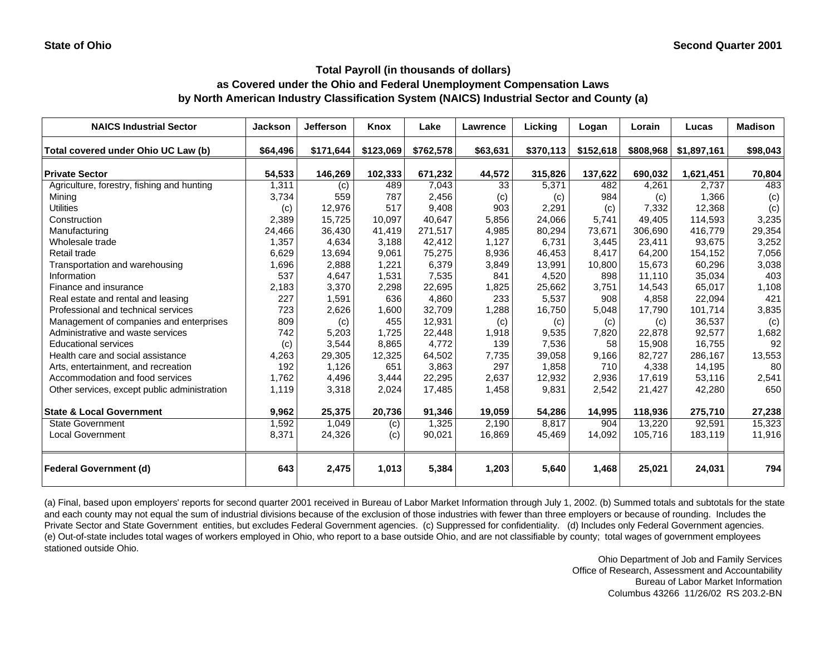# **as Covered under the Ohio and Federal Unemployment Compensation Laws by North American Industry Classification System (NAICS) Industrial Sector and County (a)**

| <b>NAICS Industrial Sector</b>               | <b>Jackson</b> | <b>Jefferson</b> | Knox      | Lake      | <b>Lawrence</b> | Lickina   | Logan     | Lorain    | Lucas       | <b>Madison</b> |
|----------------------------------------------|----------------|------------------|-----------|-----------|-----------------|-----------|-----------|-----------|-------------|----------------|
| Total covered under Ohio UC Law (b)          | \$64,496       | \$171,644        | \$123,069 | \$762,578 | \$63,631        | \$370,113 | \$152,618 | \$808,968 | \$1,897,161 | \$98,043       |
| <b>Private Sector</b>                        | 54,533         | 146,269          | 102,333   | 671,232   | 44,572          | 315,826   | 137,622   | 690,032   | 1,621,451   | 70,804         |
| Agriculture, forestry, fishing and hunting   | 1,311          | (c)              | 489       | 7,043     | 33              | 5,371     | 482       | 4.261     | 2,737       | 483            |
| Mining                                       | 3,734          | 559              | 787       | 2,456     | (c)             | (c)       | 984       | (c)       | 1,366       | (c)            |
| <b>Utilities</b>                             | (c)            | 12,976           | 517       | 9,408     | 903             | 2,291     | (c)       | 7,332     | 12,368      | (c)            |
| Construction                                 | 2,389          | 15,725           | 10,097    | 40.647    | 5,856           | 24,066    | 5,741     | 49.405    | 114,593     | 3,235          |
| Manufacturing                                | 24,466         | 36,430           | 41,419    | 271,517   | 4,985           | 80,294    | 73,671    | 306,690   | 416,779     | 29,354         |
| Wholesale trade                              | 1,357          | 4,634            | 3,188     | 42,412    | 1,127           | 6,731     | 3,445     | 23,411    | 93,675      | 3,252          |
| Retail trade                                 | 6,629          | 13,694           | 9,061     | 75,275    | 8,936           | 46,453    | 8,417     | 64,200    | 154,152     | 7,056          |
| Transportation and warehousing               | 1,696          | 2,888            | 1,221     | 6,379     | 3,849           | 13,991    | 10,800    | 15.673    | 60,296      | 3,038          |
| Information                                  | 537            | 4,647            | 1,531     | 7,535     | 841             | 4,520     | 898       | 11.110    | 35,034      | 403            |
| Finance and insurance                        | 2,183          | 3,370            | 2,298     | 22,695    | 1,825           | 25,662    | 3,751     | 14.543    | 65,017      | 1,108          |
| Real estate and rental and leasing           | 227            | 1,591            | 636       | 4,860     | 233             | 5,537     | 908       | 4,858     | 22,094      | 421            |
| Professional and technical services          | 723            | 2,626            | 1,600     | 32,709    | 1,288           | 16,750    | 5,048     | 17,790    | 101,714     | 3,835          |
| Management of companies and enterprises      | 809            | (c)              | 455       | 12,931    | (c)             | (c)       | (c)       | (c)       | 36,537      | (c)            |
| Administrative and waste services            | 742            | 5,203            | 1,725     | 22,448    | 1,918           | 9,535     | 7,820     | 22,878    | 92,577      | 1,682          |
| <b>Educational services</b>                  | (c)            | 3,544            | 8,865     | 4,772     | 139             | 7,536     | 58        | 15,908    | 16,755      | 92             |
| Health care and social assistance            | 4,263          | 29,305           | 12,325    | 64.502    | 7,735           | 39,058    | 9,166     | 82.727    | 286,167     | 13,553         |
| Arts, entertainment, and recreation          | 192            | 1,126            | 651       | 3.863     | 297             | 1,858     | 710       | 4,338     | 14,195      | 80             |
| Accommodation and food services              | 1,762          | 4,496            | 3,444     | 22,295    | 2,637           | 12,932    | 2,936     | 17,619    | 53,116      | 2,541          |
| Other services, except public administration | 1,119          | 3,318            | 2,024     | 17,485    | 1,458           | 9,831     | 2,542     | 21,427    | 42,280      | 650            |
| <b>State &amp; Local Government</b>          | 9,962          | 25,375           | 20,736    | 91,346    | 19,059          | 54,286    | 14,995    | 118,936   | 275,710     | 27,238         |
| State Government                             | 1,592          | 1,049            | (c)       | 1,325     | 2,190           | 8,817     | 904       | 13,220    | 92,591      | 15,323         |
| <b>Local Government</b>                      | 8,371          | 24,326           | (c)       | 90,021    | 16,869          | 45,469    | 14,092    | 105,716   | 183,119     | 11,916         |
| <b>Federal Government (d)</b>                | 643            | 2,475            | 1,013     | 5,384     | 1,203           | 5,640     | 1,468     | 25,021    | 24,031      | 794            |

(a) Final, based upon employers' reports for second quarter 2001 received in Bureau of Labor Market Information through July 1, 2002. (b) Summed totals and subtotals for the state and each county may not equal the sum of industrial divisions because of the exclusion of those industries with fewer than three employers or because of rounding. Includes the Private Sector and State Government entities, but excludes Federal Government agencies. (c) Suppressed for confidentiality. (d) Includes only Federal Government agencies. (e) Out-of-state includes total wages of workers employed in Ohio, who report to a base outside Ohio, and are not classifiable by county; total wages of government employees stationed outside Ohio.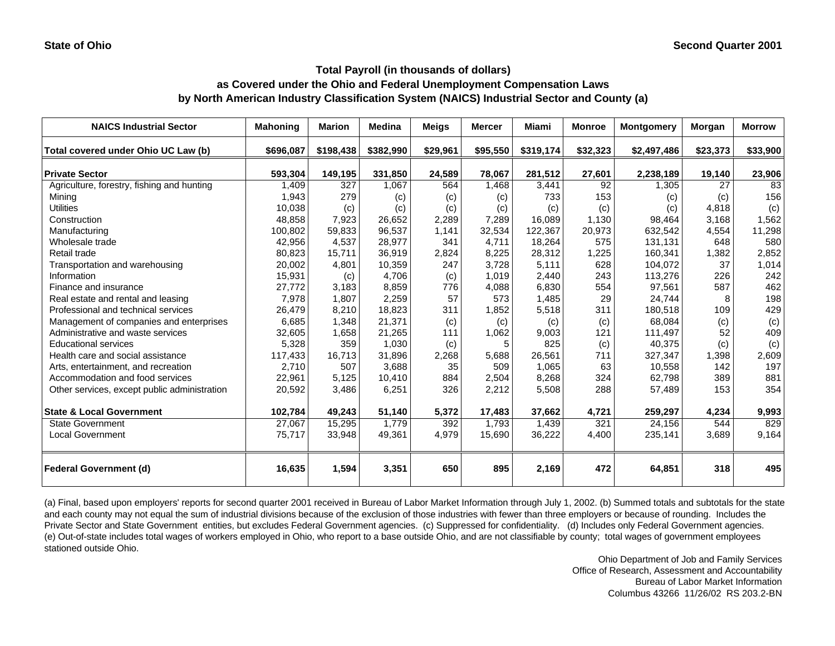# **as Covered under the Ohio and Federal Unemployment Compensation Laws by North American Industry Classification System (NAICS) Industrial Sector and County (a)**

| <b>NAICS Industrial Sector</b>               | <b>Mahoning</b> | <b>Marion</b> | <b>Medina</b> | <b>Meigs</b> | <b>Mercer</b> | Miami     | <b>Monroe</b><br><b>Montgomery</b> |             | Morgan   | <b>Morrow</b> |
|----------------------------------------------|-----------------|---------------|---------------|--------------|---------------|-----------|------------------------------------|-------------|----------|---------------|
| Total covered under Ohio UC Law (b)          | \$696,087       | \$198,438     | \$382,990     | \$29,961     | \$95,550      | \$319,174 | \$32,323                           | \$2,497,486 | \$23,373 | \$33,900      |
| <b>Private Sector</b>                        | 593,304         | 149,195       | 331,850       | 24,589       | 78,067        | 281,512   | 27,601                             | 2,238,189   | 19,140   | 23,906        |
| Agriculture, forestry, fishing and hunting   | 1,409           | 327           | 1,067         | 564          | 1,468         | 3,441     | 92                                 | 1,305       | 27       | 83            |
| Minina                                       | 1,943           | 279           | (c)           | (c)          | (c)           | 733       | 153                                | (c)         | (c)      | 156           |
| <b>Utilities</b>                             | 10,038          | (c)           | (c)           | (c)          | (c)           | (c)       | (c)                                | (c)         | 4,818    | (c)           |
| Construction                                 | 48,858          | 7,923         | 26.652        | 2,289        | 7,289         | 16,089    | 1,130                              | 98,464      | 3.168    | 1,562         |
| Manufacturing                                | 100,802         | 59,833        | 96,537        | 1,141        | 32,534        | 122,367   | 20,973                             | 632,542     | 4,554    | 11,298        |
| Wholesale trade                              | 42,956          | 4,537         | 28,977        | 341          | 4.711         | 18,264    | 575                                | 131,131     | 648      | 580           |
| Retail trade                                 | 80,823          | 15,711        | 36,919        | 2,824        | 8,225         | 28,312    | 1,225                              | 160,341     | 1,382    | 2,852         |
| Transportation and warehousing               | 20,002          | 4,801         | 10,359        | 247          | 3,728         | 5,111     | 628                                | 104,072     | 37       | 1,014         |
| Information                                  | 15,931          | (c)           | 4,706         | (c)          | 1.019         | 2,440     | 243                                | 113,276     | 226      | 242           |
| Finance and insurance                        | 27,772          | 3,183         | 8,859         | 776          | 4,088         | 6,830     | 554                                | 97,561      | 587      | 462           |
| Real estate and rental and leasing           | 7,978           | 1,807         | 2,259         | 57           | 573           | 1,485     | 29                                 | 24,744      | 8        | 198           |
| Professional and technical services          | 26,479          | 8,210         | 18,823        | 311          | 1,852         | 5,518     | 311                                | 180,518     | 109      | 429           |
| Management of companies and enterprises      | 6,685           | 1,348         | 21,371        | (c)          | (c)           | (c)       | (c)                                | 68,084      | (c)      | (c)           |
| Administrative and waste services            | 32,605          | 1,658         | 21,265        | 111          | 1,062         | 9,003     | 121                                | 111,497     | 52       | 409           |
| <b>Educational services</b>                  | 5,328           | 359           | 1,030         | (c)          | 5             | 825       | (c)                                | 40,375      | (c)      | (c)           |
| Health care and social assistance            | 117,433         | 16,713        | 31,896        | 2,268        | 5,688         | 26,561    | 711                                | 327,347     | 1,398    | 2,609         |
| Arts, entertainment, and recreation          | 2,710           | 507           | 3,688         | 35           | 509           | 1,065     | 63                                 | 10,558      | 142      | 197           |
| Accommodation and food services              | 22,961          | 5,125         | 10,410        | 884          | 2,504         | 8,268     | 324                                | 62,798      | 389      | 881           |
| Other services, except public administration | 20,592          | 3,486         | 6,251         | 326          | 2,212         | 5,508     | 288                                | 57,489      | 153      | 354           |
| <b>State &amp; Local Government</b>          | 102,784         | 49,243        | 51,140        | 5,372        | 17,483        | 37,662    | 4,721                              | 259,297     | 4,234    | 9,993         |
| <b>State Government</b>                      | 27,067          | 15,295        | 1,779         | 392          | 1,793         | 1,439     | 321                                | 24,156      | 544      | 829           |
| <b>Local Government</b>                      | 75,717          | 33,948        | 49,361        | 4,979        | 15,690        | 36,222    | 4,400                              | 235,141     | 3,689    | 9,164         |
| <b>Federal Government (d)</b>                | 16,635          | 1,594         | 3,351         | 650          | 895           | 2,169     | 472                                | 64,851      | 318      | 495           |

(a) Final, based upon employers' reports for second quarter 2001 received in Bureau of Labor Market Information through July 1, 2002. (b) Summed totals and subtotals for the state and each county may not equal the sum of industrial divisions because of the exclusion of those industries with fewer than three employers or because of rounding. Includes the Private Sector and State Government entities, but excludes Federal Government agencies. (c) Suppressed for confidentiality. (d) Includes only Federal Government agencies. (e) Out-of-state includes total wages of workers employed in Ohio, who report to a base outside Ohio, and are not classifiable by county; total wages of government employees stationed outside Ohio.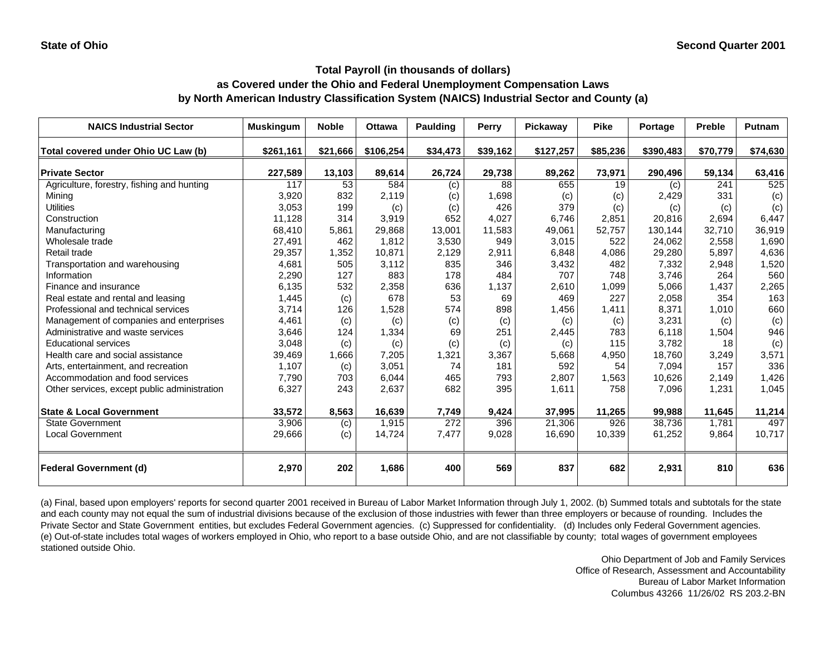## **as Covered under the Ohio and Federal Unemployment Compensation Laws by North American Industry Classification System (NAICS) Industrial Sector and County (a)**

| <b>NAICS Industrial Sector</b>               | <b>Muskingum</b> | <b>Noble</b> | <b>Ottawa</b> | <b>Paulding</b> | Perry    | <b>Pickaway</b> | <b>Pike</b> | <b>Portage</b> | <b>Preble</b> | <b>Putnam</b> |
|----------------------------------------------|------------------|--------------|---------------|-----------------|----------|-----------------|-------------|----------------|---------------|---------------|
| Total covered under Ohio UC Law (b)          | \$261,161        | \$21,666     | \$106,254     | \$34,473        | \$39,162 | \$127,257       | \$85,236    | \$390,483      | \$70,779      | \$74,630      |
| <b>Private Sector</b>                        | 227,589          | 13,103       | 89,614        | 26,724          | 29,738   | 89,262          | 73,971      | 290,496        | 59,134        | 63,416        |
| Agriculture, forestry, fishing and hunting   | 117              | 53           | 584           | (c)             | 88       | 655             | 19          | (c)            | 241           | 525           |
| Mining                                       | 3,920            | 832          | 2,119         | (c)             | 1,698    | (c)             | (c)         | 2,429          | 331           | (c)           |
| <b>Utilities</b>                             | 3,053            | 199          | (c)           | (c)             | 426      | 379             | (c)         | (c)            | (c)           | (c)           |
| Construction                                 | 11,128           | 314          | 3,919         | 652             | 4,027    | 6.746           | 2.851       | 20,816         | 2.694         | 6,447         |
| Manufacturing                                | 68,410           | 5,861        | 29,868        | 13,001          | 11,583   | 49,061          | 52,757      | 130,144        | 32,710        | 36,919        |
| Wholesale trade                              | 27,491           | 462          | 1,812         | 3,530           | 949      | 3,015           | 522         | 24,062         | 2,558         | 1,690         |
| Retail trade                                 | 29,357           | 1,352        | 10,871        | 2,129           | 2,911    | 6,848           | 4,086       | 29,280         | 5,897         | 4,636         |
| Transportation and warehousing               | 4,681            | 505          | 3,112         | 835             | 346      | 3,432           | 482         | 7,332          | 2,948         | 1,520         |
| Information                                  | 2,290            | 127          | 883           | 178             | 484      | 707             | 748         | 3.746          | 264           | 560           |
| Finance and insurance                        | 6,135            | 532          | 2,358         | 636             | 1,137    | 2,610           | 1,099       | 5,066          | 1,437         | 2,265         |
| Real estate and rental and leasing           | 1,445            | (c)          | 678           | 53              | 69       | 469             | 227         | 2,058          | 354           | 163           |
| Professional and technical services          | 3,714            | 126          | 1,528         | 574             | 898      | 1,456           | 1.411       | 8,371          | 1,010         | 660           |
| Management of companies and enterprises      | 4,461            | (c)          | (c)           | (c)             | (c)      | (c)             | (c)         | 3,231          | (c)           | (c)           |
| Administrative and waste services            | 3,646            | 124          | 1,334         | 69              | 251      | 2,445           | 783         | 6.118          | 1,504         | 946           |
| <b>Educational services</b>                  | 3,048            | (c)          | (c)           | (c)             | (c)      | (c)             | 115         | 3,782          | 18            | (c)           |
| Health care and social assistance            | 39,469           | 1,666        | 7,205         | 1,321           | 3,367    | 5,668           | 4,950       | 18,760         | 3,249         | 3,571         |
| Arts, entertainment, and recreation          | 1,107            | (c)          | 3,051         | 74              | 181      | 592             | 54          | 7,094          | 157           | 336           |
| Accommodation and food services              | 7,790            | 703          | 6,044         | 465             | 793      | 2,807           | 1,563       | 10,626         | 2,149         | 1,426         |
| Other services, except public administration | 6,327            | 243          | 2,637         | 682             | 395      | 1,611           | 758         | 7,096          | 1,231         | 1,045         |
| <b>State &amp; Local Government</b>          | 33,572           | 8,563        | 16,639        | 7,749           | 9,424    | 37,995          | 11,265      | 99,988         | 11,645        | 11,214        |
| State Government                             | 3,906            | (c)          | 1,915         | 272             | 396      | 21,306          | 926         | 38,736         | 1.781         | 497           |
| <b>Local Government</b>                      | 29,666           | (c)          | 14,724        | 7,477           | 9,028    | 16,690          | 10,339      | 61,252         | 9,864         | 10,717        |
| <b>Federal Government (d)</b>                | 2,970            | 202          | 1,686         | 400             | 569      | 837             | 682         | 2,931          | 810           | 636           |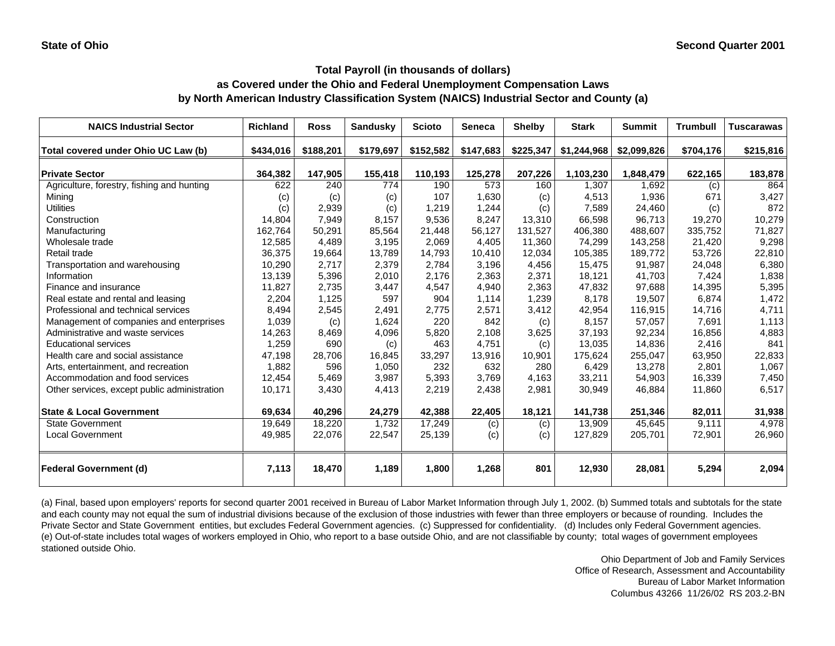# **as Covered under the Ohio and Federal Unemployment Compensation Laws by North American Industry Classification System (NAICS) Industrial Sector and County (a)**

| <b>NAICS Industrial Sector</b>               | <b>Richland</b> | <b>Ross</b> | <b>Sandusky</b> | <b>Scioto</b> | Seneca    | <b>Shelby</b> | <b>Stark</b> | <b>Summit</b> | <b>Trumbull</b> | <b>Tuscarawas</b> |
|----------------------------------------------|-----------------|-------------|-----------------|---------------|-----------|---------------|--------------|---------------|-----------------|-------------------|
| Total covered under Ohio UC Law (b)          | \$434,016       | \$188,201   | \$179,697       | \$152,582     | \$147,683 | \$225,347     | \$1,244,968  | \$2,099,826   | \$704,176       | \$215,816         |
| <b>Private Sector</b>                        | 364,382         | 147,905     | 155,418         | 110,193       | 125,278   | 207,226       | 1,103,230    | 1,848,479     | 622,165         | 183,878           |
| Agriculture, forestry, fishing and hunting   | 622             | 240         | 774             | 190           | 573       | 160           | 1,307        | 1,692         | (c)             | 864               |
| Mining                                       | (c)             | (c)         | (c)             | 107           | 1,630     | (c)           | 4,513        | 1,936         | 671             | 3,427             |
| <b>Utilities</b>                             | (c)             | 2,939       | (c)             | 1,219         | 1,244     | (c)           | 7,589        | 24,460        | (c)             | 872               |
| Construction                                 | 14,804          | 7,949       | 8,157           | 9,536         | 8,247     | 13,310        | 66,598       | 96,713        | 19,270          | 10,279            |
| Manufacturing                                | 162,764         | 50,291      | 85,564          | 21,448        | 56,127    | 131,527       | 406,380      | 488,607       | 335,752         | 71,827            |
| Wholesale trade                              | 12,585          | 4,489       | 3,195           | 2,069         | 4,405     | 11,360        | 74,299       | 143,258       | 21,420          | 9,298             |
| Retail trade                                 | 36,375          | 19,664      | 13,789          | 14,793        | 10,410    | 12.034        | 105,385      | 189,772       | 53,726          | 22,810            |
| Transportation and warehousing               | 10,290          | 2,717       | 2,379           | 2.784         | 3,196     | 4,456         | 15,475       | 91,987        | 24,048          | 6,380             |
| Information                                  | 13,139          | 5,396       | 2,010           | 2,176         | 2,363     | 2,371         | 18,121       | 41,703        | 7,424           | 1,838             |
| Finance and insurance                        | 11,827          | 2,735       | 3,447           | 4,547         | 4,940     | 2,363         | 47,832       | 97,688        | 14,395          | 5,395             |
| Real estate and rental and leasing           | 2,204           | 1,125       | 597             | 904           | 1,114     | 1,239         | 8,178        | 19,507        | 6,874           | 1,472             |
| Professional and technical services          | 8,494           | 2,545       | 2,491           | 2,775         | 2,571     | 3,412         | 42,954       | 116,915       | 14,716          | 4,711             |
| Management of companies and enterprises      | 1,039           | (c)         | 1,624           | 220           | 842       | (c)           | 8,157        | 57,057        | 7,691           | 1,113             |
| Administrative and waste services            | 14,263          | 8,469       | 4,096           | 5,820         | 2,108     | 3,625         | 37,193       | 92,234        | 16,856          | 4,883             |
| <b>Educational services</b>                  | 1,259           | 690         | (c)             | 463           | 4,751     | (c)           | 13,035       | 14,836        | 2,416           | 841               |
| Health care and social assistance            | 47,198          | 28,706      | 16,845          | 33,297        | 13,916    | 10,901        | 175,624      | 255,047       | 63,950          | 22,833            |
| Arts, entertainment, and recreation          | 1,882           | 596         | 1,050           | 232           | 632       | 280           | 6,429        | 13,278        | 2,801           | 1,067             |
| Accommodation and food services              | 12,454          | 5,469       | 3,987           | 5,393         | 3,769     | 4,163         | 33,211       | 54,903        | 16,339          | 7,450             |
| Other services, except public administration | 10,171          | 3,430       | 4,413           | 2,219         | 2,438     | 2,981         | 30,949       | 46,884        | 11,860          | 6,517             |
| <b>State &amp; Local Government</b>          | 69,634          | 40,296      | 24,279          | 42,388        | 22,405    | 18,121        | 141,738      | 251,346       | 82,011          | 31,938            |
| <b>State Government</b>                      | 19,649          | 18,220      | 1,732           | 17,249        | (c)       | (c)           | 13,909       | 45,645        | 9,111           | 4,978             |
| <b>Local Government</b>                      | 49,985          | 22,076      | 22,547          | 25,139        | (c)       | (c)           | 127,829      | 205,701       | 72,901          | 26,960            |
| <b>Federal Government (d)</b>                | 7,113           | 18,470      | 1,189           | 1,800         | 1,268     | 801           | 12,930       | 28,081        | 5,294           | 2,094             |

(a) Final, based upon employers' reports for second quarter 2001 received in Bureau of Labor Market Information through July 1, 2002. (b) Summed totals and subtotals for the state and each county may not equal the sum of industrial divisions because of the exclusion of those industries with fewer than three employers or because of rounding. Includes the Private Sector and State Government entities, but excludes Federal Government agencies. (c) Suppressed for confidentiality. (d) Includes only Federal Government agencies. (e) Out-of-state includes total wages of workers employed in Ohio, who report to a base outside Ohio, and are not classifiable by county; total wages of government employees stationed outside Ohio.